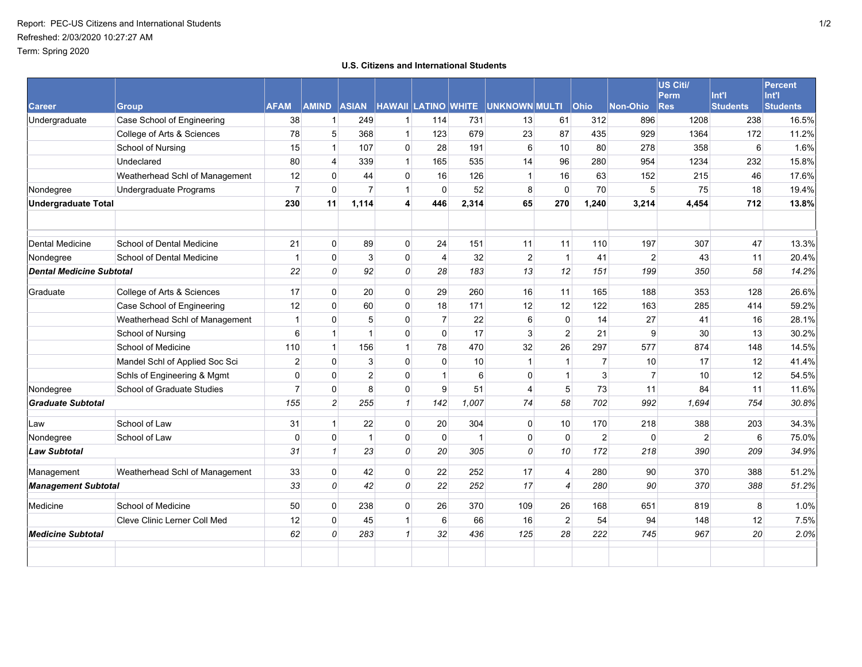## **U.S. Citizens and International Students**

|                                 |                                |                |                |                |                |                |       |                                                    |                |                |                | US Citi/<br><b>Perm</b> | Int'l           | <b>Percent</b><br>Int'l |
|---------------------------------|--------------------------------|----------------|----------------|----------------|----------------|----------------|-------|----------------------------------------------------|----------------|----------------|----------------|-------------------------|-----------------|-------------------------|
| <b>Career</b>                   | <b>Group</b>                   | <b>AFAM</b>    |                |                |                |                |       | AMIND ASIAN HAWAII LATINO WHITE UNKNOWN MULTI Ohio |                |                | Non-Ohio       | <b>Res</b>              | <b>Students</b> | <b>Students</b>         |
| Undergraduate                   | Case School of Engineering     | 38             | $\mathbf{1}$   | 249            | $\mathbf{1}$   | 114            | 731   | 13                                                 | 61             | 312            | 896            | 1208                    | 238             | 16.5%                   |
|                                 | College of Arts & Sciences     | 78             | 5              | 368            | $\mathbf{1}$   | 123            | 679   | 23                                                 | 87             | 435            | 929            | 1364                    | 172             | 11.2%                   |
|                                 | School of Nursing              | 15             | 1              | 107            | 0              | 28             | 191   | 6                                                  | 10             | 80             | 278            | 358                     | 6               | 1.6%                    |
|                                 | Undeclared                     | 80             | 4              | 339            | $\mathbf{1}$   | 165            | 535   | 14                                                 | 96             | 280            | 954            | 1234                    | 232             | 15.8%                   |
|                                 | Weatherhead Schl of Management | 12             | 0              | 44             | 0              | 16             | 126   | $\mathbf{1}$                                       | 16             | 63             | 152            | 215                     | 46              | 17.6%                   |
| Nondegree                       | Undergraduate Programs         | $\overline{7}$ | $\mathbf 0$    | $\overline{7}$ | $\mathbf{1}$   | $\mathbf 0$    | 52    | 8                                                  | 0              | 70             | 5              | 75                      | 18              | 19.4%                   |
| <b>Undergraduate Total</b>      |                                | 230            | 11             | 1,114          | $\overline{4}$ | 446            | 2,314 | 65                                                 | 270            | 1,240          | 3,214          | 4,454                   | 712             | 13.8%                   |
|                                 |                                |                |                |                |                |                |       |                                                    |                |                |                |                         |                 |                         |
| <b>Dental Medicine</b>          | School of Dental Medicine      | 21             | $\mathbf 0$    | 89             | $\overline{0}$ | 24             | 151   | 11                                                 | 11             | 110            | 197            | 307                     | 47              | 13.3%                   |
| Nondegree                       | School of Dental Medicine      | $\mathbf{1}$   | $\mathbf 0$    | 3              | 0              | $\overline{4}$ | 32    | $\overline{2}$                                     | $\mathbf{1}$   | 41             | $\overline{2}$ | 43                      | 11              | 20.4%                   |
| <b>Dental Medicine Subtotal</b> |                                | 22             | 0              | 92             | 0              | 28             | 183   | 13                                                 | 12             | 151            | 199            | 350                     | 58              | 14.2%                   |
| Graduate                        | College of Arts & Sciences     | 17             | $\mathbf 0$    | 20             | 0              | 29             | 260   | 16                                                 | 11             | 165            | 188            | 353                     | 128             | 26.6%                   |
|                                 | Case School of Engineering     | 12             | 0              | 60             | 0              | 18             | 171   | 12                                                 | 12             | 122            | 163            | 285                     | 414             | 59.2%                   |
|                                 | Weatherhead Schl of Management | $\mathbf{1}$   | 0              | 5              | 0              | $\overline{7}$ | 22    | 6                                                  | 0              | 14             | 27             | 41                      | 16              | 28.1%                   |
|                                 | School of Nursing              | 6              | $\mathbf{1}$   | $\overline{1}$ | 0              | $\Omega$       | 17    | 3                                                  | $\overline{2}$ | 21             | 9              | 30                      | 13              | 30.2%                   |
|                                 | School of Medicine             | 110            | 1              | 156            | $\mathbf{1}$   | 78             | 470   | 32                                                 | 26             | 297            | 577            | 874                     | 148             | 14.5%                   |
|                                 | Mandel Schl of Applied Soc Sci | $\overline{2}$ | $\Omega$       | 3              | 0              | $\mathbf 0$    | 10    | 1                                                  | $\mathbf{1}$   | $\overline{7}$ | 10             | 17                      | 12              | 41.4%                   |
|                                 | Schls of Engineering & Mgmt    | 0              | $\mathbf 0$    | $\overline{c}$ | 0              | $\mathbf{1}$   | 6     | $\mathbf 0$                                        | $\mathbf{1}$   | 3              | $\overline{7}$ | 10                      | 12              | 54.5%                   |
| Nondegree                       | School of Graduate Studies     | $\overline{7}$ | $\Omega$       | 8              | 0              | 9              | 51    | 4                                                  | 5              | 73             | 11             | 84                      | 11              | 11.6%                   |
| <b>Graduate Subtotal</b>        |                                | 155            | $\overline{2}$ | 255            | $\mathcal I$   | 142            | 1,007 | 74                                                 | 58             | 702            | 992            | 1,694                   | 754             | 30.8%                   |
| Law                             | School of Law                  | 31             | 1              | 22             | 0              | 20             | 304   | 0                                                  | 10             | 170            | 218            | 388                     | 203             | 34.3%                   |
| Nondegree                       | School of Law                  | 0              | $\mathbf 0$    | $\mathbf{1}$   | 0              | 0              | 1     | $\mathbf 0$                                        | $\mathbf 0$    | $\overline{2}$ | $\mathbf 0$    | $\overline{c}$          | 6               | 75.0%                   |
| <b>Law Subtotal</b>             |                                | 31             | $\mathbf{1}$   | 23             | $\overline{0}$ | 20             | 305   | 0                                                  | 10             | 172            | 218            | 390                     | 209             | 34.9%                   |
| Management                      | Weatherhead Schl of Management | 33             | $\mathbf 0$    | 42             | 0              | 22             | 252   | 17                                                 | $\overline{4}$ | 280            | 90             | 370                     | 388             | 51.2%                   |
| <b>Management Subtotal</b>      |                                | 33             | 0              | 42             | 0              | 22             | 252   | 17                                                 | $\overline{4}$ | 280            | 90             | 370                     | 388             | 51.2%                   |
| Medicine                        | School of Medicine             | 50             | $\mathbf 0$    | 238            | 0              | 26             | 370   | 109                                                | 26             | 168            | 651            | 819                     | 8               | 1.0%                    |
|                                 | Cleve Clinic Lerner Coll Med   | 12             | $\mathbf 0$    | 45             | 1              | 6              | 66    | 16                                                 | $\overline{2}$ | 54             | 94             | 148                     | 12              | 7.5%                    |
| <b>Medicine Subtotal</b>        |                                | 62             | $\overline{O}$ | 283            | 1              | 32             | 436   | 125                                                | 28             | 222            | 745            | 967                     | 20              | 2.0%                    |
|                                 |                                |                |                |                |                |                |       |                                                    |                |                |                |                         |                 |                         |